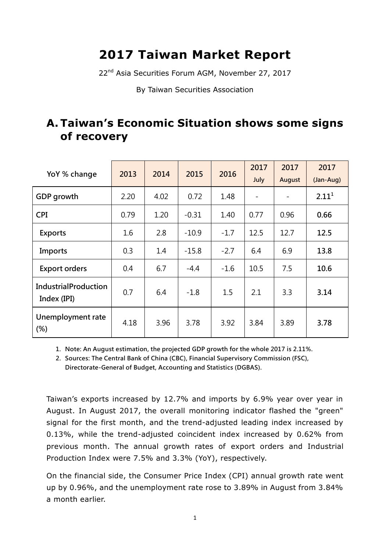# **2017 Taiwan Market Report**

22<sup>nd</sup> Asia Securities Forum AGM, November 27, 2017

By Taiwan Securities Association

# **A. Taiwan's Economic Situation shows some signs of recovery**

| YoY % change                               | 2013 | 2014 | 2015    | 2016   | 2017<br>July | 2017<br>August | 2017<br>(Jan-Aug) |
|--------------------------------------------|------|------|---------|--------|--------------|----------------|-------------------|
| GDP growth                                 | 2.20 | 4.02 | 0.72    | 1.48   |              |                | 2.11 <sup>1</sup> |
| <b>CPI</b>                                 | 0.79 | 1.20 | $-0.31$ | 1.40   | 0.77         | 0.96           | 0.66              |
| <b>Exports</b>                             | 1.6  | 2.8  | $-10.9$ | $-1.7$ | 12.5         | 12.7           | 12.5              |
| Imports                                    | 0.3  | 1.4  | $-15.8$ | $-2.7$ | 6.4          | 6.9            | 13.8              |
| <b>Export orders</b>                       | 0.4  | 6.7  | $-4.4$  | $-1.6$ | 10.5         | 7.5            | 10.6              |
| <b>IndustrialProduction</b><br>Index (IPI) | 0.7  | 6.4  | $-1.8$  | 1.5    | 2.1          | 3.3            | 3.14              |
| Unemployment rate<br>(%)                   | 4.18 | 3.96 | 3.78    | 3.92   | 3.84         | 3.89           | 3.78              |

1. Note: An August estimation, the projected GDP growth for the whole 2017 is 2.11%.

2. Sources: The Central Bank of China (CBC), Financial Supervisory Commission (FSC), Directorate-General of Budget, Accounting and Statistics (DGBAS).

Taiwan's exports increased by 12.7% and imports by 6.9% year over year in August. In August 2017, the overall monitoring indicator flashed the "green" signal for the first month, and the trend-adjusted leading index increased by 0.13%, while the trend-adjusted coincident index increased by 0.62% from previous month. The annual growth rates of export orders and Industrial Production Index were 7.5% and 3.3% (YoY), respectively.

On the financial side, the Consumer Price Index (CPI) annual growth rate went up by 0.96%, and the unemployment rate rose to 3.89% in August from 3.84% a month earlier.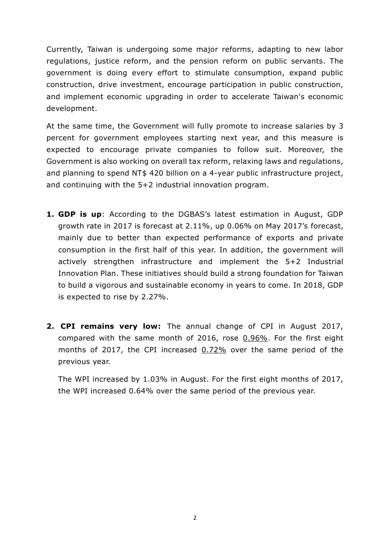Currently, Taiwan is undergoing some major reforms, adapting to new labor regulations, justice reform, and the pension reform on public servants. The government is doing every effort to stimulate consumption, expand public construction, drive investment, encourage participation in public construction, and implement economic upgrading in order to accelerate Taiwan's economic development.

At the same time, the Government will fully promote to increase salaries by 3 percent for government employees starting next year, and this measure is expected to encourage private companies to follow suit. Moreover, the Government is also working on overall tax reform, relaxing laws and regulations, and planning to spend NT\$ 420 billion on a 4-year public infrastructure project, and continuing with the 5+2 industrial innovation program.

- **1. GDP is up**: According to the DGBAS's latest estimation in August, GDP growth rate in 2017 is forecast at 2.11%, up 0.06% on May 2017's forecast, mainly due to better than expected performance of exports and private consumption in the first half of this year. In addition, the government will actively strengthen infrastructure and implement the 5+2 Industrial Innovation Plan. These initiatives should build a strong foundation for Taiwan to build a vigorous and sustainable economy in years to come. In 2018, GDP is expected to rise by 2.27%.
- **2. CPI remains very low:** The annual change of CPI in August 2017, compared with the same month of 2016, rose 0.96%. For the first eight months of 2017, the CPI increased 0.72% over the same period of the previous year.

The WPI increased by 1.03% in August. For the first eight months of 2017, the WPI increased 0.64% over the same period of the previous year.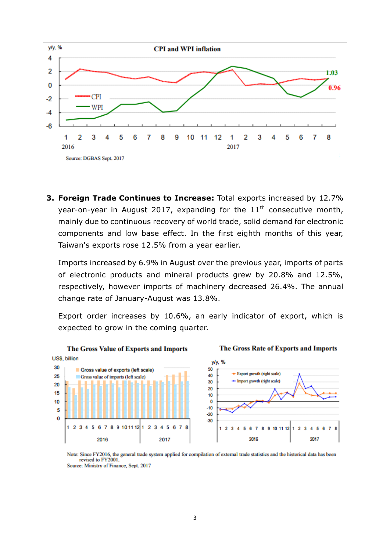

**3. Foreign Trade Continues to Increase:** Total exports increased by 12.7% year-on-year in August 2017, expanding for the  $11<sup>th</sup>$  consecutive month, mainly due to continuous recovery of world trade, solid demand for electronic components and low base effect. In the first eighth months of this year, Taiwan's exports rose 12.5% from a year earlier.

Imports increased by 6.9% in August over the previous year, imports of parts of electronic products and mineral products grew by 20.8% and 12.5%, respectively, however imports of machinery decreased 26.4%. The annual change rate of January-August was 13.8%.

Export order increases by 10.6%, an early indicator of export, which is expected to grow in the coming quarter.



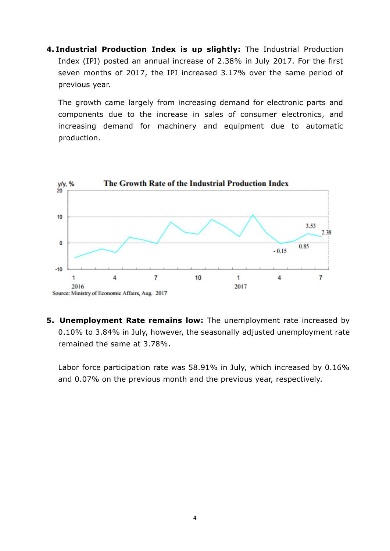**4. Industrial Production Index is up slightly:** The Industrial Production Index (IPI) posted an annual increase of 2.38% in July 2017. For the first seven months of 2017, the IPI increased 3.17% over the same period of previous year.

The growth came largely from increasing demand for electronic parts and components due to the increase in sales of consumer electronics, and increasing demand for machinery and equipment due to automatic production.



**5. Unemployment Rate remains low:** The unemployment rate increased by 0.10% to 3.84% in July, however, the seasonally adjusted unemployment rate remained the same at 3.78%.

Labor force participation rate was 58.91% in July, which increased by 0.16% and 0.07% on the previous month and the previous year, respectively.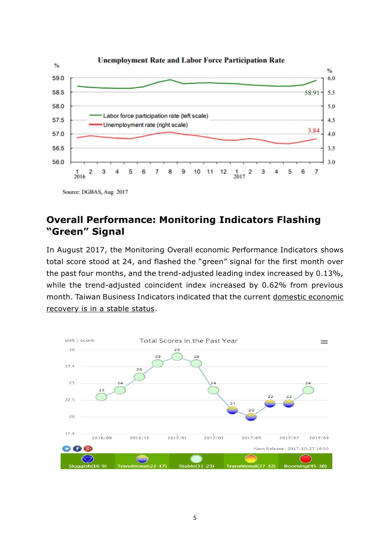

## **Overall Performance: Monitoring Indicators Flashing "Green" Signal**

In August 2017, the Monitoring Overall economic Performance Indicators shows total score stood at 24, and flashed the "green" signal for the first month over the past four months, and the trend-adjusted leading index increased by 0.13%, while the trend-adjusted coincident index increased by 0.62% from previous month. Taiwan Business Indicators indicated that the current domestic economic recovery is in a stable status.

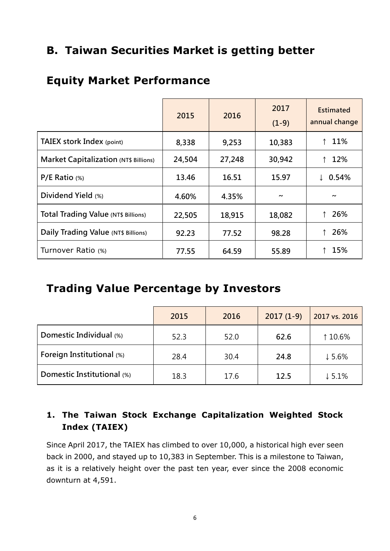# **B. Taiwan Securities Market is getting better**

## **Equity Market Performance**

|                                              | 2015   | 2016   | 2017<br>$(1-9)$       | <b>Estimated</b><br>annual change |
|----------------------------------------------|--------|--------|-----------------------|-----------------------------------|
| <b>TAIEX stork Index (point)</b>             | 8,338  | 9,253  | 10,383                | 11%                               |
| <b>Market Capitalization (NT\$ Billions)</b> | 24,504 | 27,248 | 30,942                | 12%                               |
| $P/E$ Ratio $(*)$                            | 13.46  | 16.51  | 15.97                 | 0.54%                             |
| Dividend Yield (%)                           | 4.60%  | 4.35%  | $\tilde{\phantom{a}}$ | $\tilde{\phantom{a}}$             |
| <b>Total Trading Value (NT\$ Billions)</b>   | 22,505 | 18,915 | 18,082                | 26%                               |
| Daily Trading Value (NT\$ Billions)          | 92.23  | 77.52  | 98.28                 | 26%                               |
| Turnover Ratio (%)                           | 77.55  | 64.59  | 55.89                 | 15%                               |

## **Trading Value Percentage by Investors**

|                            | 2015 | 2016 | $2017(1-9)$ | 2017 vs. 2016     |
|----------------------------|------|------|-------------|-------------------|
| Domestic Individual (%)    | 52.3 | 52.0 | 62.6        | ↑ 10.6%           |
| Foreign Institutional (%)  | 28.4 | 30.4 | 24.8        | $\downarrow$ 5.6% |
| Domestic Institutional (%) | 18.3 | 17.6 | 12.5        | $\downarrow$ 5.1% |

## **1. The Taiwan Stock Exchange Capitalization Weighted Stock Index (TAIEX)**

Since April 2017, the TAIEX has climbed to over 10,000, a historical high ever seen back in 2000, and stayed up to 10,383 in September. This is a milestone to Taiwan, as it is a relatively height over the past ten year, ever since the 2008 economic downturn at 4,591.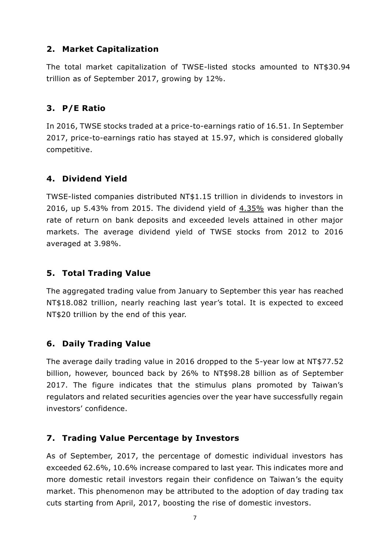### **2. Market Capitalization**

The total market capitalization of TWSE-listed stocks amounted to NT\$30.94 trillion as of September 2017, growing by 12%.

## **3. P/E Ratio**

In 2016, TWSE stocks traded at a price-to-earnings ratio of 16.51. In September 2017, price-to-earnings ratio has stayed at 15.97, which is considered globally competitive.

### **4. Dividend Yield**

TWSE-listed companies distributed NT\$1.15 trillion in dividends to investors in 2016, up 5.43% from 2015. The dividend yield of 4.35% was higher than the rate of return on bank deposits and exceeded levels attained in other major markets. The average dividend yield of TWSE stocks from 2012 to 2016 averaged at 3.98%.

## **5. Total Trading Value**

The aggregated trading value from January to September this year has reached NT\$18.082 trillion, nearly reaching last year's total. It is expected to exceed NT\$20 trillion by the end of this year.

## **6. Daily Trading Value**

The average daily trading value in 2016 dropped to the 5-year low at NT\$77.52 billion, however, bounced back by 26% to NT\$98.28 billion as of September 2017. The figure indicates that the stimulus plans promoted by Taiwan's regulators and related securities agencies over the year have successfully regain investors' confidence.

## **7. Trading Value Percentage by Investors**

As of September, 2017, the percentage of domestic individual investors has exceeded 62.6%, 10.6% increase compared to last year. This indicates more and more domestic retail investors regain their confidence on Taiwan's the equity market. This phenomenon may be attributed to the adoption of day trading tax cuts starting from April, 2017, boosting the rise of domestic investors.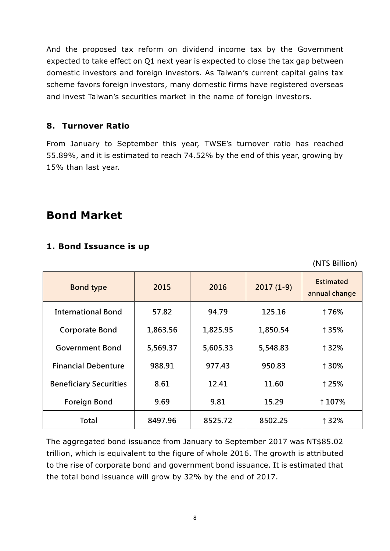And the proposed tax reform on dividend income tax by the Government expected to take effect on Q1 next year is expected to close the tax gap between domestic investors and foreign investors. As Taiwan's current capital gains tax scheme favors foreign investors, many domestic firms have registered overseas and invest Taiwan's securities market in the name of foreign investors.

#### **8. Turnover Ratio**

From January to September this year, TWSE's turnover ratio has reached 55.89%, and it is estimated to reach 74.52% by the end of this year, growing by 15% than last year.

## **Bond Market**

### **1. Bond Issuance is up**

(NT\$ Billion)

| <b>Bond type</b>              | 2015     | 2016     | $2017(1-9)$ | <b>Estimated</b><br>annual change |
|-------------------------------|----------|----------|-------------|-----------------------------------|
| <b>International Bond</b>     | 57.82    | 94.79    | 125.16      | 176%                              |
| <b>Corporate Bond</b>         | 1,863.56 | 1,825.95 | 1,850.54    | ↑35%                              |
| <b>Government Bond</b>        | 5,569.37 | 5,605.33 | 5,548.83    | ↑32%                              |
| <b>Financial Debenture</b>    | 988.91   | 977.43   | 950.83      | ↑30%                              |
| <b>Beneficiary Securities</b> | 8.61     | 12.41    | 11.60       | ↑25%                              |
| <b>Foreign Bond</b>           | 9.69     | 9.81     | 15.29       | 1 107%                            |
| Total                         | 8497.96  | 8525.72  | 8502.25     | ↑32%                              |

The aggregated bond issuance from January to September 2017 was NT\$85.02 trillion, which is equivalent to the figure of whole 2016. The growth is attributed to the rise of corporate bond and government bond issuance. It is estimated that the total bond issuance will grow by 32% by the end of 2017.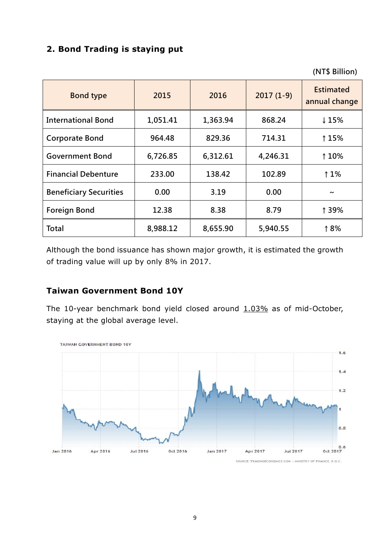## **2. Bond Trading is staying put**

(NT\$ Billion)

| <b>Bond type</b>              | 2015     | 2016     | $2017(1-9)$ | <b>Estimated</b><br>annual change |
|-------------------------------|----------|----------|-------------|-----------------------------------|
| <b>International Bond</b>     | 1,051.41 | 1,363.94 | 868.24      | ↓15%                              |
| <b>Corporate Bond</b>         | 964.48   | 829.36   | 714.31      | 115%                              |
| <b>Government Bond</b>        | 6,726.85 | 6,312.61 | 4,246.31    | 110%                              |
| <b>Financial Debenture</b>    | 233.00   | 138.42   | 102.89      | 11%                               |
| <b>Beneficiary Securities</b> | 0.00     | 3.19     | 0.00        | $\tilde{\phantom{a}}$             |
| <b>Foreign Bond</b>           | 12.38    | 8.38     | 8.79        | ↑39%                              |
| <b>Total</b>                  | 8,988.12 | 8,655.90 | 5,940.55    | 18%                               |

Although the bond issuance has shown major growth, it is estimated the growth of trading value will up by only 8% in 2017.

### **Taiwan Government Bond 10Y**

The 10-year benchmark bond yield closed around  $1.03\%$  as of mid-October, staying at the global average level.



SOURCE: TRADINGECONOMICS.COM | MINISTRY OF FINANCE, R.O.C.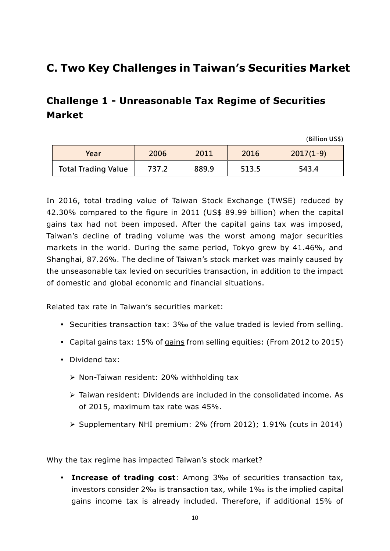# **C. Two Key Challenges in Taiwan's Securities Market**

## **Challenge 1 - Unreasonable Tax Regime of Securities Market**

(Billion US\$)

| Year                       | 2006  | 2011  | 2016  | $2017(1-9)$ |
|----------------------------|-------|-------|-------|-------------|
| <b>Total Trading Value</b> | 737.2 | 889.9 | 513.5 | 543.4       |

In 2016, total trading value of Taiwan Stock Exchange (TWSE) reduced by 42.30% compared to the figure in 2011 (US\$ 89.99 billion) when the capital gains tax had not been imposed. After the capital gains tax was imposed, Taiwan's decline of trading volume was the worst among major securities markets in the world. During the same period, Tokyo grew by 41.46%, and Shanghai, 87.26%. The decline of Taiwan's stock market was mainly caused by the unseasonable tax levied on securities transaction, in addition to the impact of domestic and global economic and financial situations.

Related tax rate in Taiwan's securities market:

- Securities transaction tax: 3‰ of the value traded is levied from selling.
- Capital gains tax: 15% of gains from selling equities: (From 2012 to 2015)
- Dividend tax:
	- Non-Taiwan resident: 20% withholding tax
	- $\triangleright$  Taiwan resident: Dividends are included in the consolidated income. As of 2015, maximum tax rate was 45%.
	- $\triangleright$  Supplementary NHI premium: 2% (from 2012); 1.91% (cuts in 2014)

Why the tax regime has impacted Taiwan's stock market?

 **Increase of trading cost**: Among 3‰ of securities transaction tax, investors consider 2‰ is transaction tax, while 1‰ is the implied capital gains income tax is already included. Therefore, if additional 15% of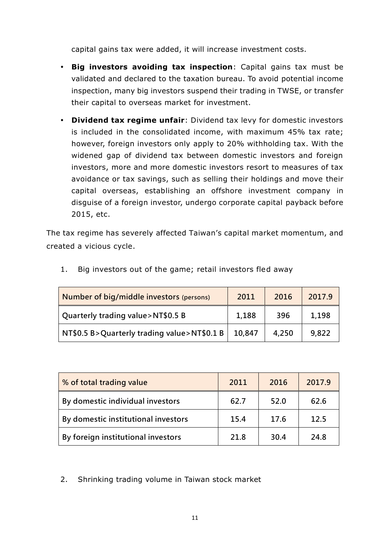capital gains tax were added, it will increase investment costs.

- **Big investors avoiding tax inspection**: Capital gains tax must be validated and declared to the taxation bureau. To avoid potential income inspection, many big investors suspend their trading in TWSE, or transfer their capital to overseas market for investment.
- **Dividend tax regime unfair**: Dividend tax levy for domestic investors is included in the consolidated income, with maximum 45% tax rate; however, foreign investors only apply to 20% withholding tax. With the widened gap of dividend tax between domestic investors and foreign investors, more and more domestic investors resort to measures of tax avoidance or tax savings, such as selling their holdings and move their capital overseas, establishing an offshore investment company in disguise of a foreign investor, undergo corporate capital payback before 2015, etc.

The tax regime has severely affected Taiwan's capital market momentum, and created a vicious cycle.

| Number of big/middle investors (persons)    | 2011   | 2016  | 2017.9 |
|---------------------------------------------|--------|-------|--------|
| Quarterly trading value>NT\$0.5 B           | 1,188  | 396   | 1,198  |
| NT\$0.5 B>Quarterly trading value>NT\$0.1 B | 10,847 | 4,250 | 9,822  |

1. Big investors out of the game; retail investors fled away

| % of total trading value            | 2011 | 2016 | 2017.9 |
|-------------------------------------|------|------|--------|
| By domestic individual investors    | 62.7 | 52.0 | 62.6   |
| By domestic institutional investors | 15.4 | 17.6 | 12.5   |
| By foreign institutional investors  | 21.8 | 30.4 | 24.8   |

2. Shrinking trading volume in Taiwan stock market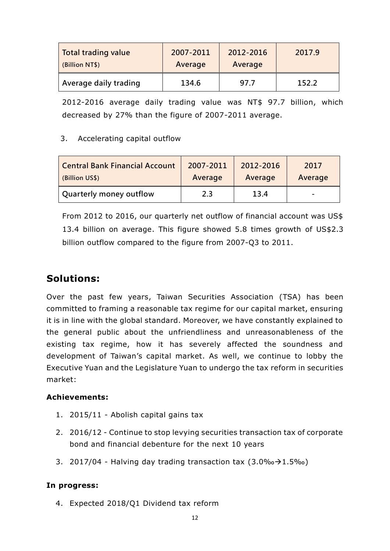| Total trading value   | 2007-2011 | 2012-2016 | 2017.9 |
|-----------------------|-----------|-----------|--------|
| (Billion NT\$)        | Average   | Average   |        |
| Average daily trading | 134.6     | 97.7      | 152.2  |

2012-2016 average daily trading value was NT\$ 97.7 billion, which decreased by 27% than the figure of 2007-2011 average.

#### 3. Accelerating capital outflow

| <b>Central Bank Financial Account</b> | 2007-2011 | 2012-2016 | 2017                     |
|---------------------------------------|-----------|-----------|--------------------------|
| (Billion US\$)                        | Average   | Average   | Average                  |
| Quarterly money outflow               | 2.3       | 13.4      | $\overline{\phantom{a}}$ |

From 2012 to 2016, our quarterly net outflow of financial account was US\$ 13.4 billion on average. This figure showed 5.8 times growth of US\$2.3 billion outflow compared to the figure from 2007-Q3 to 2011.

## **Solutions:**

Over the past few years, Taiwan Securities Association (TSA) has been committed to framing a reasonable tax regime for our capital market, ensuring it is in line with the global standard. Moreover, we have constantly explained to the general public about the unfriendliness and unreasonableness of the existing tax regime, how it has severely affected the soundness and development of Taiwan's capital market. As well, we continue to lobby the Executive Yuan and the Legislature Yuan to undergo the tax reform in securities market:

#### **Achievements:**

- 1. 2015/11 Abolish capital gains tax
- 2. 2016/12 Continue to stop levying securities transaction tax of corporate bond and financial debenture for the next 10 years
- 3. 2017/04 Halving day trading transaction tax  $(3.0\% \rightarrow 1.5\% \cdot )$

#### **In progress:**

4. Expected 2018/Q1 Dividend tax reform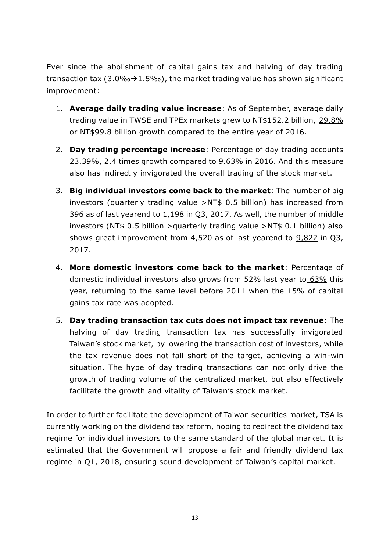Ever since the abolishment of capital gains tax and halving of day trading transaction tax (3.0‰ $\rightarrow$ 1.5‰), the market trading value has shown significant improvement:

- 1. **Average daily trading value increase**: As of September, average daily trading value in TWSE and TPEx markets grew to NT\$152.2 billion, 29.8% or NT\$99.8 billion growth compared to the entire year of 2016.
- 2. **Day trading percentage increase**: Percentage of day trading accounts 23.39%, 2.4 times growth compared to 9.63% in 2016. And this measure also has indirectly invigorated the overall trading of the stock market.
- 3. **Big individual investors come back to the market**: The number of big investors (quarterly trading value >NT\$ 0.5 billion) has increased from 396 as of last yearend to 1,198 in Q3, 2017. As well, the number of middle investors (NT\$ 0.5 billion >quarterly trading value >NT\$ 0.1 billion) also shows great improvement from 4,520 as of last yearend to 9,822 in Q3, 2017.
- 4. **More domestic investors come back to the market**: Percentage of domestic individual investors also grows from 52% last year to 63% this year, returning to the same level before 2011 when the 15% of capital gains tax rate was adopted.
- 5. **Day trading transaction tax cuts does not impact tax revenue**: The halving of day trading transaction tax has successfully invigorated Taiwan's stock market, by lowering the transaction cost of investors, while the tax revenue does not fall short of the target, achieving a win-win situation. The hype of day trading transactions can not only drive the growth of trading volume of the centralized market, but also effectively facilitate the growth and vitality of Taiwan's stock market.

In order to further facilitate the development of Taiwan securities market, TSA is currently working on the dividend tax reform, hoping to redirect the dividend tax regime for individual investors to the same standard of the global market. It is estimated that the Government will propose a fair and friendly dividend tax regime in Q1, 2018, ensuring sound development of Taiwan's capital market.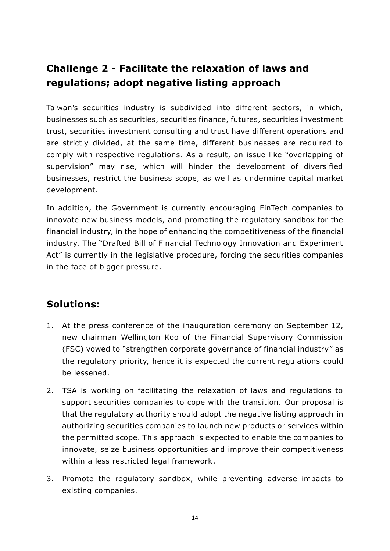# **Challenge 2 - Facilitate the relaxation of laws and regulations; adopt negative listing approach**

Taiwan's securities industry is subdivided into different sectors, in which, businesses such as securities, securities finance, futures, securities investment trust, securities investment consulting and trust have different operations and are strictly divided, at the same time, different businesses are required to comply with respective regulations. As a result, an issue like "overlapping of supervision" may rise, which will hinder the development of diversified businesses, restrict the business scope, as well as undermine capital market development.

In addition, the Government is currently encouraging FinTech companies to innovate new business models, and promoting the regulatory sandbox for the financial industry, in the hope of enhancing the competitiveness of the financial industry. The "Drafted Bill of Financial Technology Innovation and Experiment Act" is currently in the legislative procedure, forcing the securities companies in the face of bigger pressure.

## **Solutions:**

- 1. At the press conference of the inauguration ceremony on September 12, new chairman Wellington Koo of the Financial Supervisory Commission (FSC) vowed to "strengthen corporate governance of financial industry" as the regulatory priority, hence it is expected the current regulations could be lessened.
- 2. TSA is working on facilitating the relaxation of laws and regulations to support securities companies to cope with the transition. Our proposal is that the regulatory authority should adopt the negative listing approach in authorizing securities companies to launch new products or services within the permitted scope. This approach is expected to enable the companies to innovate, seize business opportunities and improve their competitiveness within a less restricted legal framework.
- 3. Promote the regulatory sandbox, while preventing adverse impacts to existing companies.